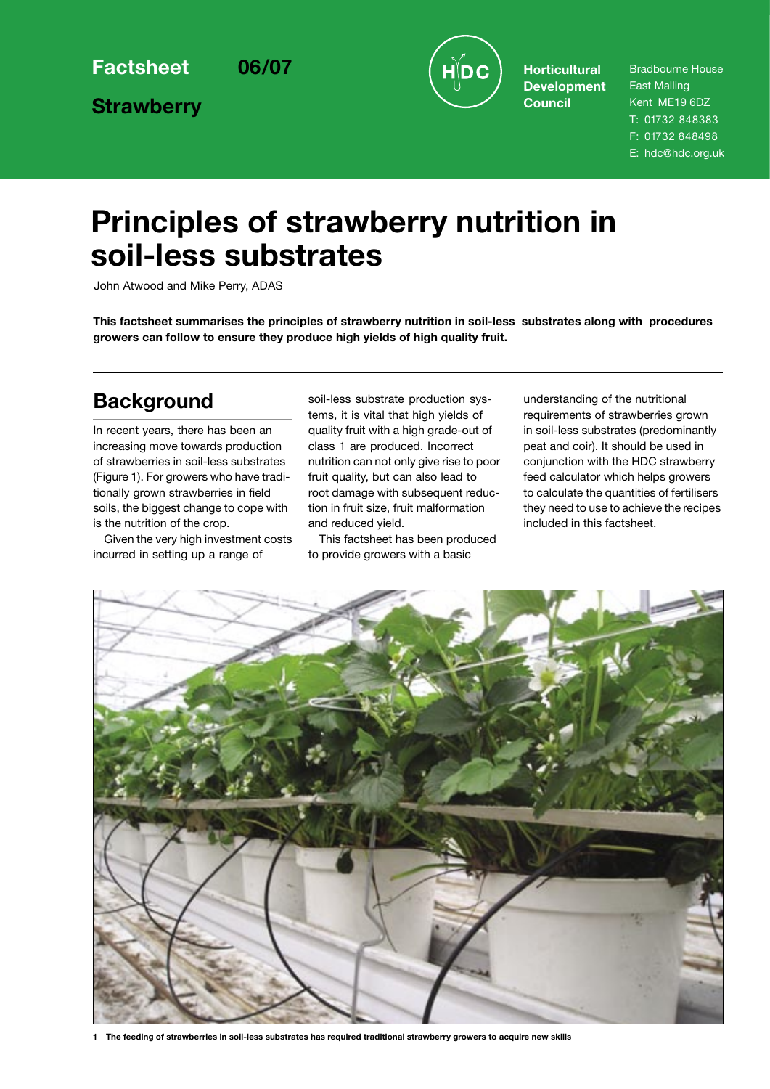**Strawberry**



**Development Council**

Bradbourne House East Malling Kent ME19 6DZ T: 01732 848383 F: 01732 848498 E: hdc@hdc.org.uk

# **Principles of strawberry nutrition in soil-less substrates**

John Atwood and Mike Perry, ADAS

**This factsheet summarises the principles of strawberry nutrition in soil-less substrates along with procedures growers can follow to ensure they produce high yields of high quality fruit.**

### **Background**

In recent years, there has been an increasing move towards production of strawberries in soil-less substrates (Figure 1). For growers who have traditionally grown strawberries in field soils, the biggest change to cope with is the nutrition of the crop.

Given the very high investment costs incurred in setting up a range of

soil-less substrate production systems, it is vital that high yields of quality fruit with a high grade-out of class 1 are produced. Incorrect nutrition can not only give rise to poor fruit quality, but can also lead to root damage with subsequent reduction in fruit size, fruit malformation and reduced yield.

This factsheet has been produced to provide growers with a basic

understanding of the nutritional requirements of strawberries grown in soil-less substrates (predominantly peat and coir). It should be used in conjunction with the HDC strawberry feed calculator which helps growers to calculate the quantities of fertilisers they need to use to achieve the recipes included in this factsheet.



**1 The feeding of strawberries in soil-less substrates has required traditional strawberry growers to acquire new skills**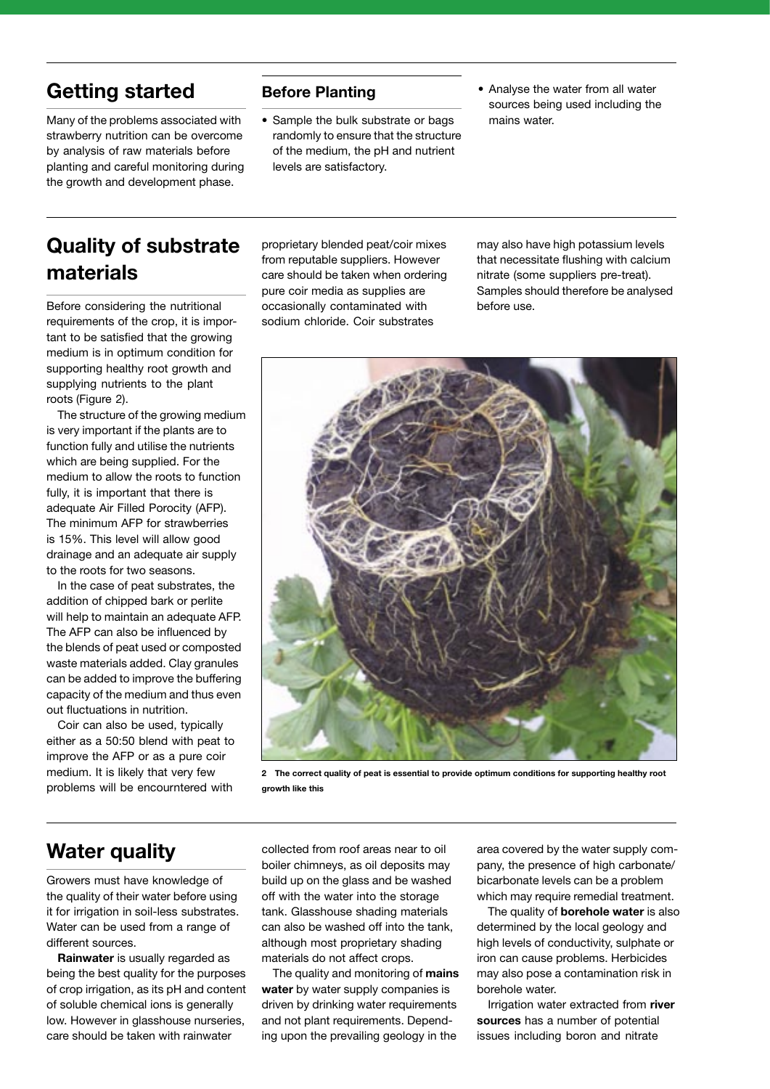### **Getting started**

Many of the problems associated with strawberry nutrition can be overcome by analysis of raw materials before planting and careful monitoring during the growth and development phase.

#### **Before Planting**

- Sample the bulk substrate or bags randomly to ensure that the structure of the medium, the pH and nutrient levels are satisfactory.
- Analyse the water from all water sources being used including the mains water.

## **Quality of substrate materials**

Before considering the nutritional requirements of the crop, it is important to be satisfied that the growing medium is in optimum condition for supporting healthy root growth and supplying nutrients to the plant roots (Figure 2).

The structure of the growing medium is very important if the plants are to function fully and utilise the nutrients which are being supplied. For the medium to allow the roots to function fully, it is important that there is adequate Air Filled Porocity (AFP). The minimum AFP for strawberries is 15%. This level will allow good drainage and an adequate air supply to the roots for two seasons.

In the case of peat substrates, the addition of chipped bark or perlite will help to maintain an adequate AFP. The AFP can also be influenced by the blends of peat used or composted waste materials added. Clay granules can be added to improve the buffering capacity of the medium and thus even out fluctuations in nutrition.

Coir can also be used, typically either as a 50:50 blend with peat to improve the AFP or as a pure coir medium. It is likely that very few problems will be encourntered with

proprietary blended peat/coir mixes from reputable suppliers. However care should be taken when ordering pure coir media as supplies are occasionally contaminated with sodium chloride. Coir substrates

may also have high potassium levels that necessitate flushing with calcium nitrate (some suppliers pre-treat). Samples should therefore be analysed before use.



**2 The correct quality of peat is essential to provide optimum conditions for supporting healthy root growth like this**

### **Water quality**

Growers must have knowledge of the quality of their water before using it for irrigation in soil-less substrates. Water can be used from a range of different sources.

**Rainwater** is usually regarded as being the best quality for the purposes of crop irrigation, as its pH and content of soluble chemical ions is generally low. However in glasshouse nurseries, care should be taken with rainwater

collected from roof areas near to oil boiler chimneys, as oil deposits may build up on the glass and be washed off with the water into the storage tank. Glasshouse shading materials can also be washed off into the tank, although most proprietary shading materials do not affect crops.

The quality and monitoring of **mains water** by water supply companies is driven by drinking water requirements and not plant requirements. Depending upon the prevailing geology in the

area covered by the water supply company, the presence of high carbonate/ bicarbonate levels can be a problem which may require remedial treatment.

The quality of **borehole water** is also determined by the local geology and high levels of conductivity, sulphate or iron can cause problems. Herbicides may also pose a contamination risk in borehole water.

Irrigation water extracted from **river sources** has a number of potential issues including boron and nitrate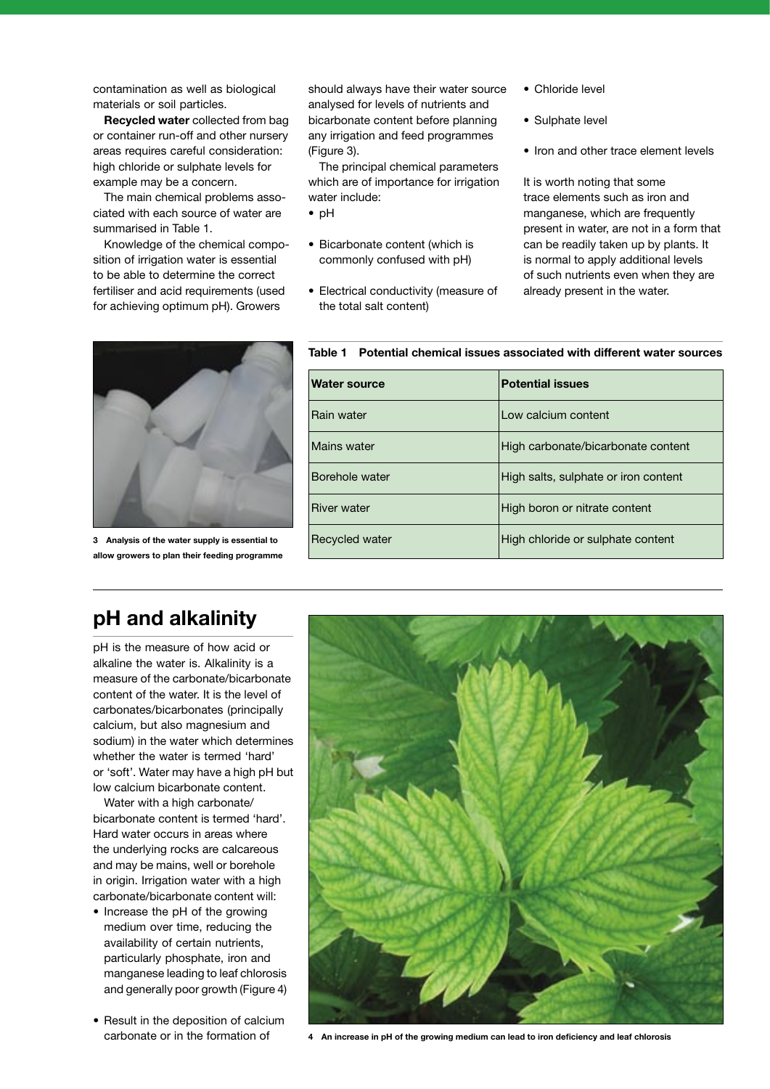contamination as well as biological materials or soil particles.

**Recycled water** collected from bag or container run-off and other nursery areas requires careful consideration: high chloride or sulphate levels for example may be a concern.

The main chemical problems associated with each source of water are summarised in Table 1.

Knowledge of the chemical composition of irrigation water is essential to be able to determine the correct fertiliser and acid requirements (used for achieving optimum pH). Growers

should always have their water source analysed for levels of nutrients and bicarbonate content before planning any irrigation and feed programmes (Figure 3).

The principal chemical parameters which are of importance for irrigation water include:

- pH
- Bicarbonate content (which is commonly confused with pH)
- Electrical conductivity (measure of the total salt content)
- Chloride level
- Sulphate level
- Iron and other trace element levels

It is worth noting that some trace elements such as iron and manganese, which are frequently present in water, are not in a form that can be readily taken up by plants. It is normal to apply additional levels of such nutrients even when they are already present in the water.



**3 Analysis of the water supply is essential to allow growers to plan their feeding programme**

#### **Table 1 Potential chemical issues associated with different water sources**

| Water source       | <b>Potential issues</b>              |
|--------------------|--------------------------------------|
| Rain water         | Low calcium content                  |
| Mains water        | High carbonate/bicarbonate content   |
| Borehole water     | High salts, sulphate or iron content |
| <b>River water</b> | High boron or nitrate content        |
| Recycled water     | High chloride or sulphate content    |

### **pH and alkalinity**

pH is the measure of how acid or alkaline the water is. Alkalinity is a measure of the carbonate/bicarbonate content of the water. It is the level of carbonates/bicarbonates (principally calcium, but also magnesium and sodium) in the water which determines whether the water is termed 'hard' or 'soft'. Water may have a high pH but low calcium bicarbonate content.

Water with a high carbonate/ bicarbonate content is termed 'hard'. Hard water occurs in areas where the underlying rocks are calcareous and may be mains, well or borehole in origin. Irrigation water with a high carbonate/bicarbonate content will:

- Increase the pH of the growing medium over time, reducing the availability of certain nutrients, particularly phosphate, iron and manganese leading to leaf chlorosis and generally poor growth (Figure 4)
- Result in the deposition of calcium



carbonate or in the formation of **4 An increase in pH of the growing medium can lead to iron deficiency and leaf chlorosis**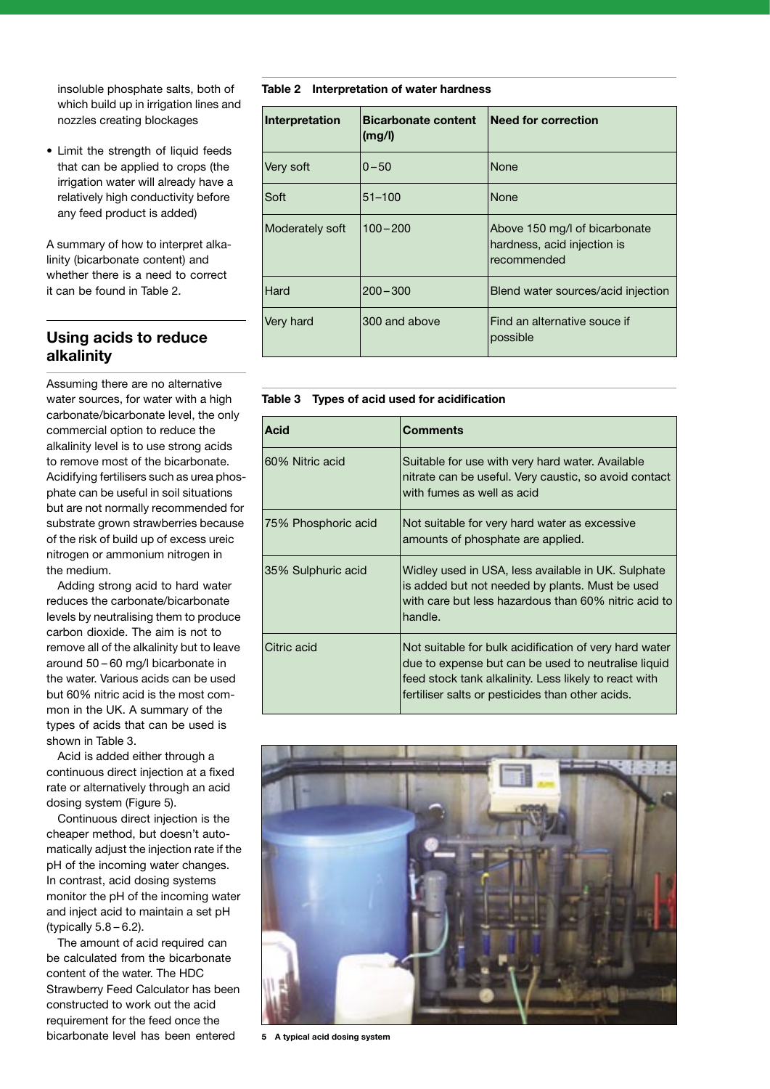insoluble phosphate salts, both of which build up in irrigation lines and nozzles creating blockages

• Limit the strength of liquid feeds that can be applied to crops (the irrigation water will already have a relatively high conductivity before any feed product is added)

A summary of how to interpret alkalinity (bicarbonate content) and whether there is a need to correct it can be found in Table 2.

#### **Using acids to reduce alkalinity**

Assuming there are no alternative water sources, for water with a high carbonate/bicarbonate level, the only commercial option to reduce the alkalinity level is to use strong acids to remove most of the bicarbonate. Acidifying fertilisers such as urea phosphate can be useful in soil situations but are not normally recommended for substrate grown strawberries because of the risk of build up of excess ureic nitrogen or ammonium nitrogen in the medium.

Adding strong acid to hard water reduces the carbonate/bicarbonate levels by neutralising them to produce carbon dioxide. The aim is not to remove all of the alkalinity but to leave around 50 – 60 mg/l bicarbonate in the water. Various acids can be used but 60% nitric acid is the most common in the UK. A summary of the types of acids that can be used is shown in Table 3.

Acid is added either through a continuous direct injection at a fixed rate or alternatively through an acid dosing system (Figure 5).

Continuous direct injection is the cheaper method, but doesn't automatically adjust the injection rate if the pH of the incoming water changes. In contrast, acid dosing systems monitor the pH of the incoming water and inject acid to maintain a set pH (typically  $5.8 - 6.2$ ).

The amount of acid required can be calculated from the bicarbonate content of the water. The HDC Strawberry Feed Calculator has been constructed to work out the acid requirement for the feed once the bicarbonate level has been entered

**Table 2 Interpretation of water hardness**

| Interpretation  | <b>Bicarbonate content</b><br>(mg/l) | <b>Need for correction</b>                                                  |
|-----------------|--------------------------------------|-----------------------------------------------------------------------------|
| Very soft       | $0 - 50$                             | <b>None</b>                                                                 |
| Soft            | $51 - 100$                           | <b>None</b>                                                                 |
| Moderately soft | $100 - 200$                          | Above 150 mg/l of bicarbonate<br>hardness, acid injection is<br>recommended |
| Hard            | $200 - 300$                          | Blend water sources/acid injection                                          |
| Very hard       | 300 and above                        | Find an alternative souce if<br>possible                                    |

|  |  |  |  |  | Table 3 Types of acid used for acidification |
|--|--|--|--|--|----------------------------------------------|
|--|--|--|--|--|----------------------------------------------|

| Acid                | <b>Comments</b>                                                                                                                                                                                                            |
|---------------------|----------------------------------------------------------------------------------------------------------------------------------------------------------------------------------------------------------------------------|
| 60% Nitric acid     | Suitable for use with very hard water. Available<br>nitrate can be useful. Very caustic, so avoid contact<br>with fumes as well as acid                                                                                    |
| 75% Phosphoric acid | Not suitable for very hard water as excessive<br>amounts of phosphate are applied.                                                                                                                                         |
| 35% Sulphuric acid  | Widley used in USA, less available in UK. Sulphate<br>is added but not needed by plants. Must be used<br>with care but less hazardous than 60% nitric acid to<br>handle.                                                   |
| Citric acid         | Not suitable for bulk acidification of very hard water<br>due to expense but can be used to neutralise liquid<br>feed stock tank alkalinity. Less likely to react with<br>fertiliser salts or pesticides than other acids. |



**5 A typical acid dosing system**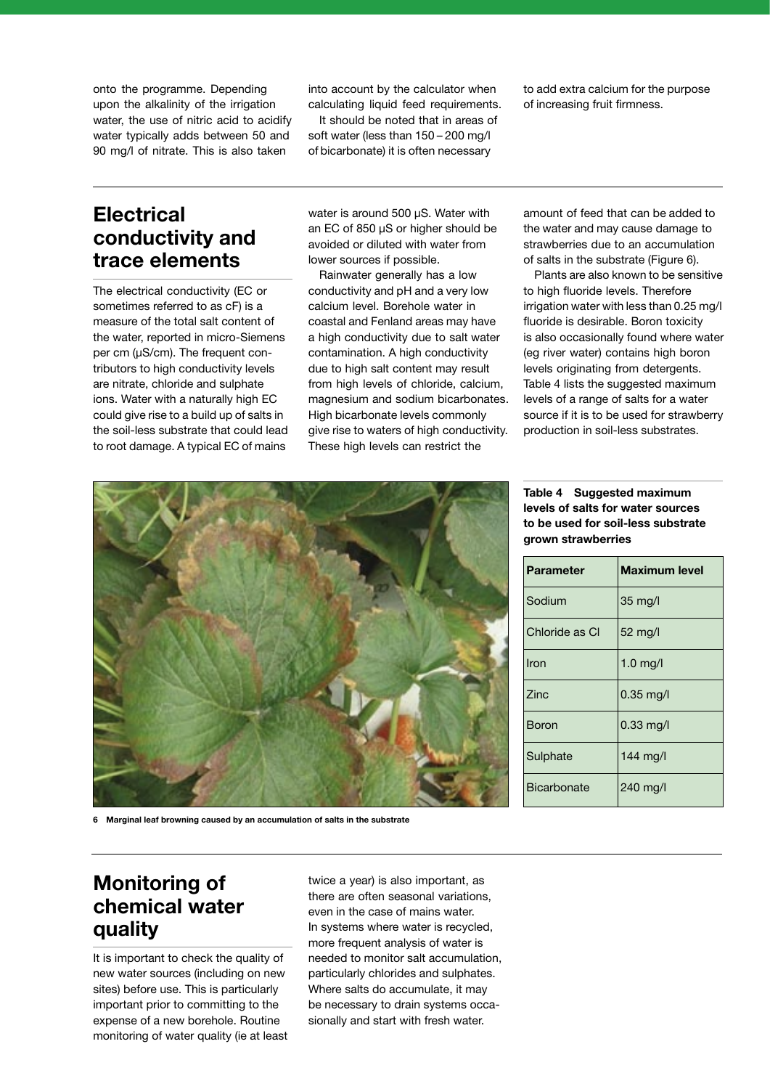onto the programme. Depending upon the alkalinity of the irrigation water, the use of nitric acid to acidify water typically adds between 50 and 90 mg/l of nitrate. This is also taken

into account by the calculator when calculating liquid feed requirements.

It should be noted that in areas of soft water (less than 150 – 200 mg/l of bicarbonate) it is often necessary

to add extra calcium for the purpose of increasing fruit firmness.

### **Electrical conductivity and trace elements**

The electrical conductivity (EC or sometimes referred to as cF) is a measure of the total salt content of the water, reported in micro-Siemens per cm (µS/cm). The frequent contributors to high conductivity levels are nitrate, chloride and sulphate ions. Water with a naturally high EC could give rise to a build up of salts in the soil-less substrate that could lead to root damage. A typical EC of mains

water is around 500 µS. Water with an EC of 850 µS or higher should be avoided or diluted with water from lower sources if possible.

Rainwater generally has a low conductivity and pH and a very low calcium level. Borehole water in coastal and Fenland areas may have a high conductivity due to salt water contamination. A high conductivity due to high salt content may result from high levels of chloride, calcium, magnesium and sodium bicarbonates. High bicarbonate levels commonly give rise to waters of high conductivity. These high levels can restrict the

amount of feed that can be added to the water and may cause damage to strawberries due to an accumulation of salts in the substrate (Figure 6).

Plants are also known to be sensitive to high fluoride levels. Therefore irrigation water with less than 0.25 mg/l fluoride is desirable. Boron toxicity is also occasionally found where water (eg river water) contains high boron levels originating from detergents. Table 4 lists the suggested maximum levels of a range of salts for a water source if it is to be used for strawberry production in soil-less substrates.

**Table 4 Suggested maximum levels of salts for water sources to be used for soil-less substrate grown strawberries** 

| <b>Parameter</b>   | <b>Maximum level</b> |
|--------------------|----------------------|
| Sodium             | $35 \text{ mg/l}$    |
| Chloride as Cl     | 52 mg/l              |
| Iron               | $1.0$ mg/l           |
| Zinc               | $0.35$ mg/l          |
| Boron              | $0.33$ mg/l          |
| Sulphate           | $144 \text{ mg}$     |
| <b>Bicarbonate</b> | 240 mg/l             |



**6 Marginal leaf browning caused by an accumulation of salts in the substrate**

### **Monitoring of chemical water quality**

It is important to check the quality of new water sources (including on new sites) before use. This is particularly important prior to committing to the expense of a new borehole. Routine monitoring of water quality (ie at least twice a year) is also important, as there are often seasonal variations, even in the case of mains water. In systems where water is recycled, more frequent analysis of water is needed to monitor salt accumulation, particularly chlorides and sulphates. Where salts do accumulate, it may be necessary to drain systems occasionally and start with fresh water.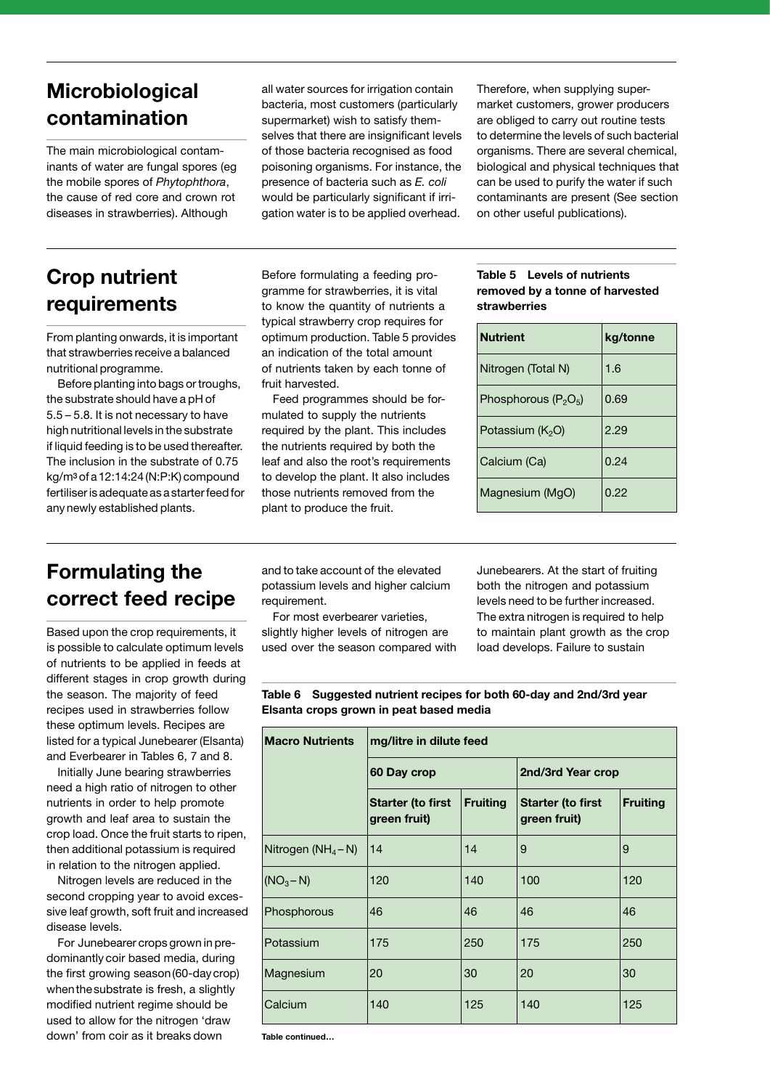## **Microbiological contamination**

The main microbiological contaminants of water are fungal spores (eg the mobile spores of *Phytophthora*, the cause of red core and crown rot diseases in strawberries). Although

## **Crop nutrient requirements**

From planting onwards, it is important that strawberries receive a balanced nutritional programme.

Before planting into bags or troughs, the substrate should have a pH of 5.5 – 5.8. It is not necessary to have high nutritional levels in the substrate if liquid feeding is to be used thereafter. The inclusion in the substrate of 0.75 kg/m3 of a 12:14:24 (N:P:K) compound fertiliser is adequate as a starter feed for any newly established plants.

all water sources for irrigation contain bacteria, most customers (particularly supermarket) wish to satisfy themselves that there are insignificant levels of those bacteria recognised as food poisoning organisms. For instance, the presence of bacteria such as *E. coli* would be particularly significant if irrigation water is to be applied overhead.

Therefore, when supplying supermarket customers, grower producers are obliged to carry out routine tests to determine the levels of such bacterial organisms. There are several chemical, biological and physical techniques that can be used to purify the water if such contaminants are present (See section on other useful publications).

Before formulating a feeding programme for strawberries, it is vital to know the quantity of nutrients a typical strawberry crop requires for optimum production. Table 5 provides an indication of the total amount of nutrients taken by each tonne of fruit harvested.

Feed programmes should be formulated to supply the nutrients required by the plant. This includes the nutrients required by both the leaf and also the root's requirements to develop the plant. It also includes those nutrients removed from the plant to produce the fruit.

#### **Table 5 Levels of nutrients removed by a tonne of harvested strawberries**

| <b>Nutrient</b>              | kg/tonne |
|------------------------------|----------|
| Nitrogen (Total N)           | 1.6      |
| Phosphorous $(P_2O_5)$       | 0.69     |
| Potassium (K <sub>2</sub> O) | 2.29     |
| Calcium (Ca)                 | 0.24     |
| Magnesium (MgO)              | 0.22     |

## **Formulating the correct feed recipe**

Based upon the crop requirements, it is possible to calculate optimum levels of nutrients to be applied in feeds at different stages in crop growth during the season. The majority of feed recipes used in strawberries follow these optimum levels. Recipes are listed for a typical Junebearer (Elsanta) and Everbearer in Tables 6, 7 and 8.

Initially June bearing strawberries need a high ratio of nitrogen to other nutrients in order to help promote growth and leaf area to sustain the crop load. Once the fruit starts to ripen, then additional potassium is required in relation to the nitrogen applied.

Nitrogen levels are reduced in the second cropping year to avoid excessive leaf growth, soft fruit and increased disease levels.

For Junebearer crops grown in predominantly coir based media, during the first growing season (60-day crop) when the substrate is fresh, a slightly modified nutrient regime should be used to allow for the nitrogen 'draw down' from coir as it breaks down

and to take account of the elevated potassium levels and higher calcium requirement.

For most everbearer varieties, slightly higher levels of nitrogen are used over the season compared with Junebearers. At the start of fruiting both the nitrogen and potassium levels need to be further increased. The extra nitrogen is required to help to maintain plant growth as the crop load develops. Failure to sustain

**Table 6 Suggested nutrient recipes for both 60-day and 2nd/3rd year Elsanta crops grown in peat based media**

| <b>Macro Nutrients</b> | mg/litre in dilute feed                  |                 |                                          |                 |
|------------------------|------------------------------------------|-----------------|------------------------------------------|-----------------|
|                        | 60 Day crop                              |                 | 2nd/3rd Year crop                        |                 |
|                        | <b>Starter (to first</b><br>green fruit) | <b>Fruiting</b> | <b>Starter (to first</b><br>green fruit) | <b>Fruiting</b> |
| Nitrogen ( $NH_4-N$ )  | 14                                       | 14              | 9                                        | 9               |
| (NO <sub>3</sub> – N)  | 120                                      | 140             | 100                                      | 120             |
| Phosphorous            | 46                                       | 46              | 46                                       | 46              |
| Potassium              | 175                                      | 250             | 175                                      | 250             |
| Magnesium              | 20                                       | 30              | 20                                       | 30              |
| Calcium                | 140                                      | 125             | 140                                      | 125             |

**Table continued…**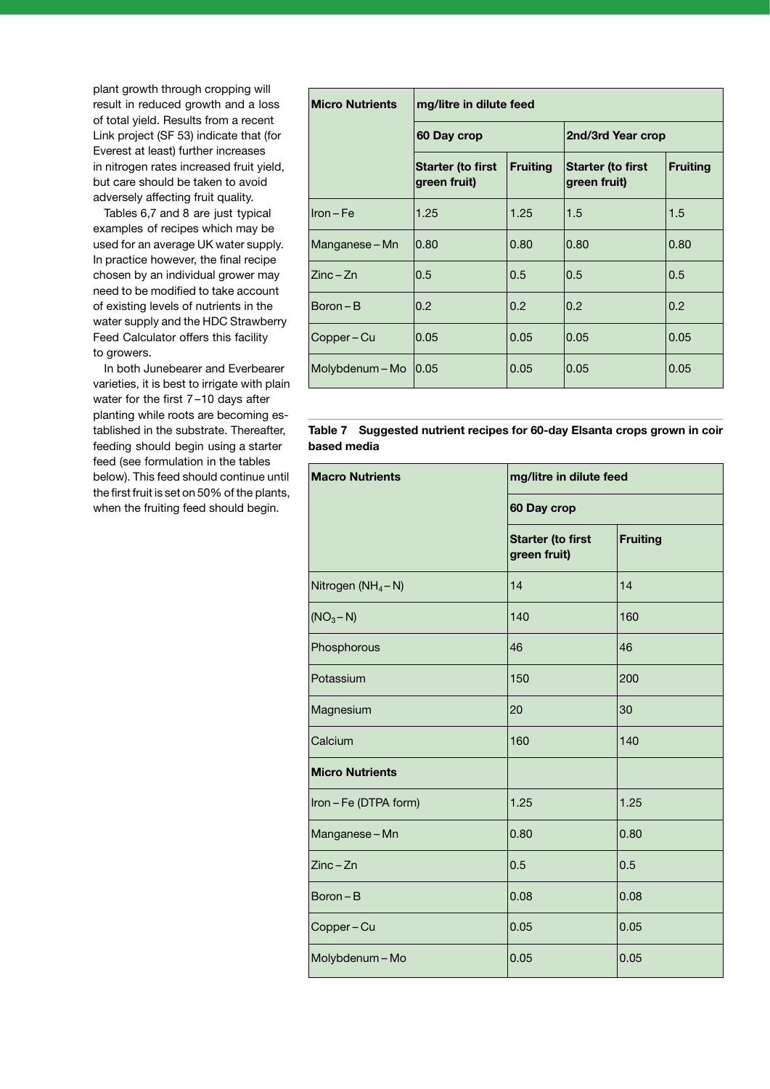plant growth through cropping will result in reduced growth and a loss of total yield. Results from a recent Link project (SF 53) indicate that (for Everest at least) further increases in nitrogen rates increased fruit yield, but care should be taken to avoid adversely affecting fruit quality.

Tables 6,7 and 8 are just typical examples of recipes which may be used for an average UK water supply. In practice however, the final recipe chosen by an individual grower may need to be modified to take account of existing levels of nutrients in the water supply and the HDC Strawberry Feed Calculator offers this facility to growers.

In both Junebearer and Everbearer varieties, it is best to irrigate with plain water for the first 7 –10 days after planting while roots are becoming established in the substrate. Thereafter, feeding should begin using a starter feed (see formulation in the tables below). This feed should continue until the first fruit is set on 50% of the plants, when the fruiting feed should begin.

| <b>Micro Nutrients</b> | mg/litre in dilute feed                  |                 |                                          |                 |
|------------------------|------------------------------------------|-----------------|------------------------------------------|-----------------|
|                        | 60 Day crop                              |                 | 2nd/3rd Year crop                        |                 |
|                        | <b>Starter (to first</b><br>green fruit) | <b>Fruiting</b> | <b>Starter (to first</b><br>green fruit) | <b>Fruiting</b> |
| $Iron - Fe$            | 1.25                                     | 1.25            | 1.5                                      | 1.5             |
| Manganese – Mn         | 0.80                                     | 0.80            | 0.80                                     | 0.80            |
| $Zinc - Zn$            | 0.5                                      | 0.5             | 0.5                                      | 0.5             |
| $Boron - B$            | 0.2                                      | 0.2             | 0.2                                      | 0.2             |
| Copper – Cu            | 0.05                                     | 0.05            | 0.05                                     | 0.05            |
| Molybdenum - Mo        | 0.05                                     | 0.05            | 0.05                                     | 0.05            |

**Table 7 Suggested nutrient recipes for 60-day Elsanta crops grown in coir based media**

| <b>Macro Nutrients</b>         | mg/litre in dilute feed                  |                 |  |  |
|--------------------------------|------------------------------------------|-----------------|--|--|
|                                | 60 Day crop                              |                 |  |  |
|                                | <b>Starter (to first</b><br>green fruit) | <b>Fruiting</b> |  |  |
| Nitrogen (NH <sub>4</sub> - N) | 14                                       | 14              |  |  |
| (NO <sub>3</sub> – N)          | 140                                      | 160             |  |  |
| Phosphorous                    | 46                                       | 46              |  |  |
| Potassium                      | 150                                      | 200             |  |  |
| Magnesium                      | 20                                       | 30              |  |  |
| Calcium                        | 160                                      | 140             |  |  |
| <b>Micro Nutrients</b>         |                                          |                 |  |  |
| Iron - Fe (DTPA form)          | 1.25                                     | 1.25            |  |  |
| Manganese-Mn                   | 0.80                                     | 0.80            |  |  |
| Zinc-Zn                        | 0.5                                      | 0.5             |  |  |
| $Boron - B$                    | 0.08                                     | 0.08            |  |  |
| Copper-Cu                      | 0.05                                     | 0.05            |  |  |
| Molybdenum - Mo                | 0.05                                     | 0.05            |  |  |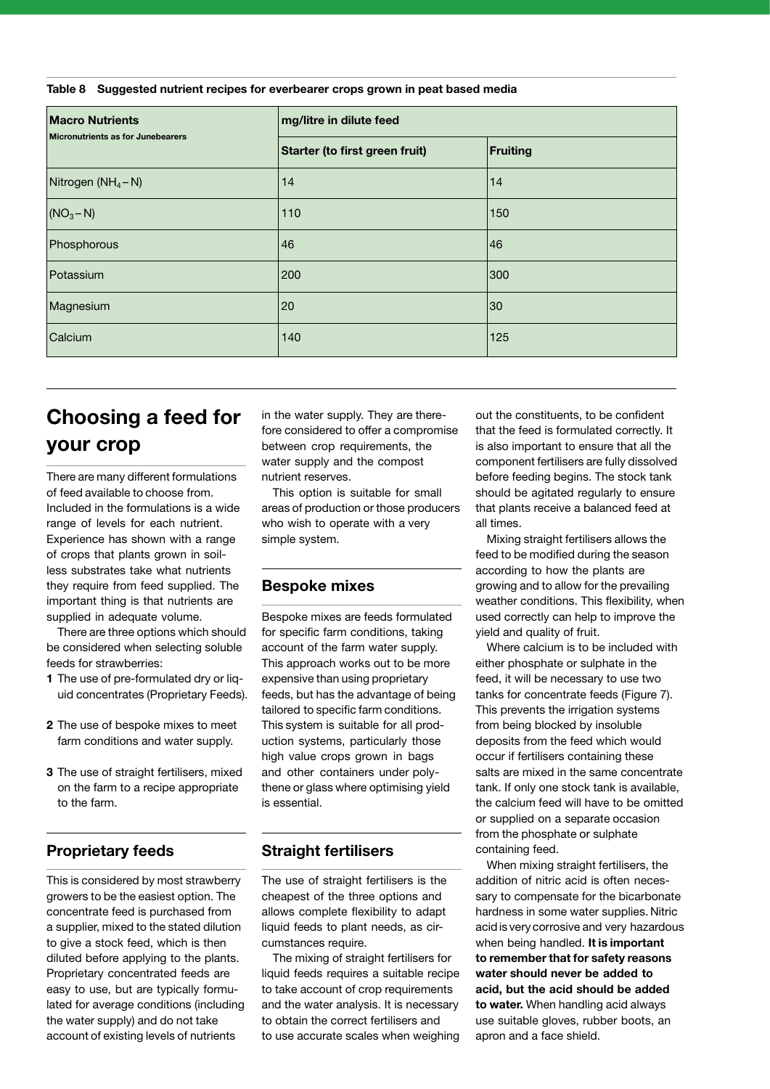**Table 8 Suggested nutrient recipes for everbearer crops grown in peat based media**

| <b>Macro Nutrients</b><br>Micronutrients as for Junebearers | mg/litre in dilute feed        |          |  |
|-------------------------------------------------------------|--------------------------------|----------|--|
|                                                             | Starter (to first green fruit) | Fruiting |  |
| Nitrogen ( $NH_4-N$ )                                       | 14                             | 14       |  |
| (NO <sub>3</sub> – N)                                       | 110                            | 150      |  |
| Phosphorous                                                 | 46                             | 46       |  |
| Potassium                                                   | 200                            | 300      |  |
| Magnesium                                                   | 20                             | 30       |  |
| Calcium                                                     | 140                            | 125      |  |

## **Choosing a feed for your crop**

There are many different formulations of feed available to choose from. Included in the formulations is a wide range of levels for each nutrient. Experience has shown with a range of crops that plants grown in soilless substrates take what nutrients they require from feed supplied. The important thing is that nutrients are supplied in adequate volume.

There are three options which should be considered when selecting soluble feeds for strawberries:

- **1** The use of pre-formulated dry or liquid concentrates (Proprietary Feeds).
- **2** The use of bespoke mixes to meet farm conditions and water supply.
- **3** The use of straight fertilisers, mixed on the farm to a recipe appropriate to the farm.

#### **Proprietary feeds**

This is considered by most strawberry growers to be the easiest option. The concentrate feed is purchased from a supplier, mixed to the stated dilution to give a stock feed, which is then diluted before applying to the plants. Proprietary concentrated feeds are easy to use, but are typically formulated for average conditions (including the water supply) and do not take account of existing levels of nutrients

in the water supply. They are therefore considered to offer a compromise between crop requirements, the water supply and the compost nutrient reserves.

This option is suitable for small areas of production or those producers who wish to operate with a very simple system.

#### **Bespoke mixes**

Bespoke mixes are feeds formulated for specific farm conditions, taking account of the farm water supply. This approach works out to be more expensive than using proprietary feeds, but has the advantage of being tailored to specific farm conditions. This system is suitable for all production systems, particularly those high value crops grown in bags and other containers under polythene or glass where optimising yield is essential.

#### **Straight fertilisers**

The use of straight fertilisers is the cheapest of the three options and allows complete flexibility to adapt liquid feeds to plant needs, as circumstances require.

The mixing of straight fertilisers for liquid feeds requires a suitable recipe to take account of crop requirements and the water analysis. It is necessary to obtain the correct fertilisers and to use accurate scales when weighing out the constituents, to be confident that the feed is formulated correctly. It is also important to ensure that all the component fertilisers are fully dissolved before feeding begins. The stock tank should be agitated regularly to ensure that plants receive a balanced feed at all times.

Mixing straight fertilisers allows the feed to be modified during the season according to how the plants are growing and to allow for the prevailing weather conditions. This flexibility, when used correctly can help to improve the yield and quality of fruit.

Where calcium is to be included with either phosphate or sulphate in the feed, it will be necessary to use two tanks for concentrate feeds (Figure 7). This prevents the irrigation systems from being blocked by insoluble deposits from the feed which would occur if fertilisers containing these salts are mixed in the same concentrate tank. If only one stock tank is available, the calcium feed will have to be omitted or supplied on a separate occasion from the phosphate or sulphate containing feed.

When mixing straight fertilisers, the addition of nitric acid is often necessary to compensate for the bicarbonate hardness in some water supplies. Nitric acid is very corrosive and very hazardous when being handled. **It is important to remember that for safety reasons water should never be added to acid, but the acid should be added to water.** When handling acid always use suitable gloves, rubber boots, an apron and a face shield.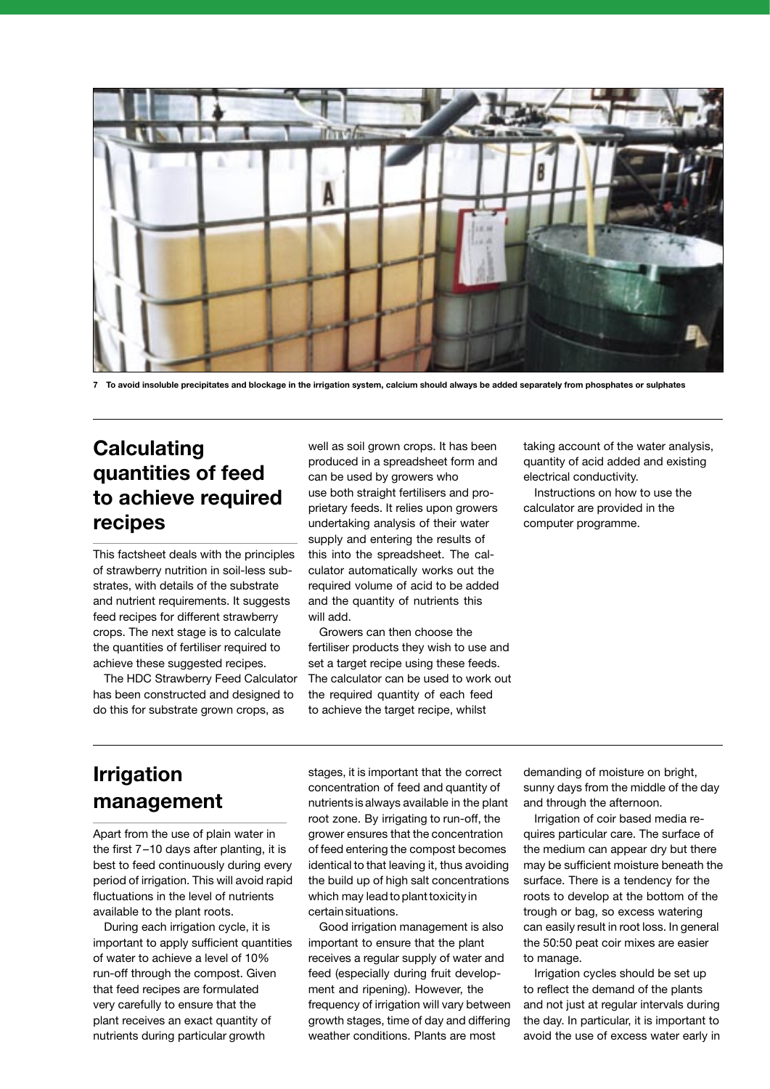

**7 To avoid insoluble precipitates and blockage in the irrigation system, calcium should always be added separately from phosphates or sulphates**

### **Calculating quantities of feed to achieve required recipes**

This factsheet deals with the principles of strawberry nutrition in soil-less substrates, with details of the substrate and nutrient requirements. It suggests feed recipes for different strawberry crops. The next stage is to calculate the quantities of fertiliser required to achieve these suggested recipes.

The HDC Strawberry Feed Calculator has been constructed and designed to do this for substrate grown crops, as

well as soil grown crops. It has been produced in a spreadsheet form and can be used by growers who use both straight fertilisers and proprietary feeds. It relies upon growers undertaking analysis of their water supply and entering the results of this into the spreadsheet. The calculator automatically works out the required volume of acid to be added and the quantity of nutrients this will add.

Growers can then choose the fertiliser products they wish to use and set a target recipe using these feeds. The calculator can be used to work out the required quantity of each feed to achieve the target recipe, whilst

taking account of the water analysis, quantity of acid added and existing electrical conductivity.

Instructions on how to use the calculator are provided in the computer programme.

## **Irrigation management**

Apart from the use of plain water in the first 7–10 days after planting, it is best to feed continuously during every period of irrigation. This will avoid rapid fluctuations in the level of nutrients available to the plant roots.

During each irrigation cycle, it is important to apply sufficient quantities of water to achieve a level of 10% run-off through the compost. Given that feed recipes are formulated very carefully to ensure that the plant receives an exact quantity of nutrients during particular growth

stages, it is important that the correct concentration of feed and quantity of nutrients is always available in the plant root zone. By irrigating to run-off, the grower ensures that the concentration of feed entering the compost becomes identical to that leaving it, thus avoiding the build up of high salt concentrations which may lead to plant toxicity in certain situations.

Good irrigation management is also important to ensure that the plant receives a regular supply of water and feed (especially during fruit development and ripening). However, the frequency of irrigation will vary between growth stages, time of day and differing weather conditions. Plants are most

demanding of moisture on bright, sunny days from the middle of the day and through the afternoon.

Irrigation of coir based media requires particular care. The surface of the medium can appear dry but there may be sufficient moisture beneath the surface. There is a tendency for the roots to develop at the bottom of the trough or bag, so excess watering can easily result in root loss. In general the 50:50 peat coir mixes are easier to manage.

Irrigation cycles should be set up to reflect the demand of the plants and not just at regular intervals during the day. In particular, it is important to avoid the use of excess water early in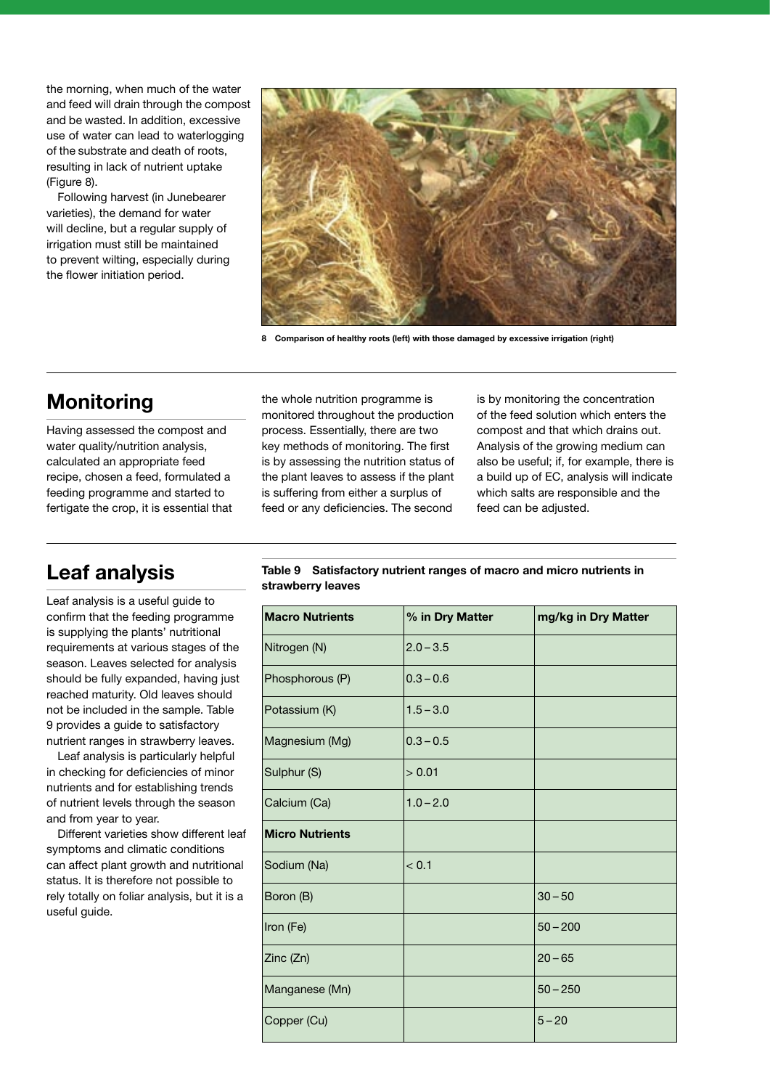the morning, when much of the water and feed will drain through the compost and be wasted. In addition, excessive use of water can lead to waterlogging of the substrate and death of roots, resulting in lack of nutrient uptake (Figure 8).

Following harvest (in Junebearer varieties), the demand for water will decline, but a regular supply of irrigation must still be maintained to prevent wilting, especially during the flower initiation period.



**8 Comparison of healthy roots (left) with those damaged by excessive irrigation (right)**

## **Monitoring**

Having assessed the compost and water quality/nutrition analysis, calculated an appropriate feed recipe, chosen a feed, formulated a feeding programme and started to fertigate the crop, it is essential that the whole nutrition programme is monitored throughout the production process. Essentially, there are two key methods of monitoring. The first is by assessing the nutrition status of the plant leaves to assess if the plant is suffering from either a surplus of feed or any deficiencies. The second

is by monitoring the concentration of the feed solution which enters the compost and that which drains out. Analysis of the growing medium can also be useful; if, for example, there is a build up of EC, analysis will indicate which salts are responsible and the feed can be adjusted.

### **Leaf analysis**

Leaf analysis is a useful guide to confirm that the feeding programme is supplying the plants' nutritional requirements at various stages of the season. Leaves selected for analysis should be fully expanded, having just reached maturity. Old leaves should not be included in the sample. Table 9 provides a guide to satisfactory nutrient ranges in strawberry leaves.

Leaf analysis is particularly helpful in checking for deficiencies of minor nutrients and for establishing trends of nutrient levels through the season and from year to year.

Different varieties show different leaf symptoms and climatic conditions can affect plant growth and nutritional status. It is therefore not possible to rely totally on foliar analysis, but it is a useful guide.

**Table 9 Satisfactory nutrient ranges of macro and micro nutrients in strawberry leaves**

| <b>Macro Nutrients</b> | % in Dry Matter | mg/kg in Dry Matter |
|------------------------|-----------------|---------------------|
| Nitrogen (N)           | $2.0 - 3.5$     |                     |
| Phosphorous (P)        | $0.3 - 0.6$     |                     |
| Potassium (K)          | $1.5 - 3.0$     |                     |
| Magnesium (Mg)         | $0.3 - 0.5$     |                     |
| Sulphur (S)            | > 0.01          |                     |
| Calcium (Ca)           | $1.0 - 2.0$     |                     |
| <b>Micro Nutrients</b> |                 |                     |
| Sodium (Na)            | < 0.1           |                     |
| Boron (B)              |                 | $30 - 50$           |
| Iron (Fe)              |                 | $50 - 200$          |
| Zinc (Zn)              |                 | $20 - 65$           |
| Manganese (Mn)         |                 | $50 - 250$          |
| Copper (Cu)            |                 | $5 - 20$            |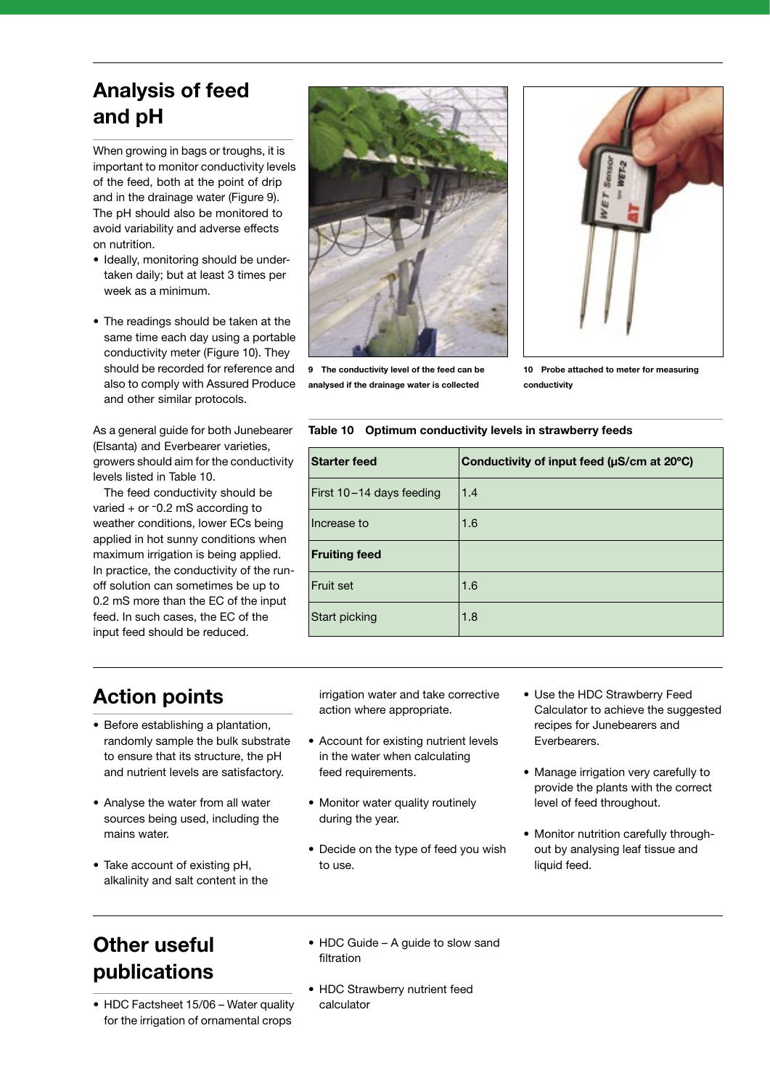## **Analysis of feed and pH**

When growing in bags or troughs, it is important to monitor conductivity levels of the feed, both at the point of drip and in the drainage water (Figure 9). The pH should also be monitored to avoid variability and adverse effects on nutrition.

- Ideally, monitoring should be undertaken daily; but at least 3 times per week as a minimum.
- The readings should be taken at the same time each day using a portable conductivity meter (Figure 10). They should be recorded for reference and also to comply with Assured Produce and other similar protocols.

As a general guide for both Junebearer (Elsanta) and Everbearer varieties, growers should aim for the conductivity levels listed in Table 10.

The feed conductivity should be varied + or -0.2 mS according to weather conditions, lower ECs being applied in hot sunny conditions when maximum irrigation is being applied. In practice, the conductivity of the runoff solution can sometimes be up to 0.2 mS more than the EC of the input feed. In such cases, the EC of the input feed should be reduced.



**9 The conductivity level of the feed can be analysed if the drainage water is collected**



**10 Probe attached to meter for measuring conductivity**

#### **Table 10 Optimum conductivity levels in strawberry feeds**

| <b>Starter feed</b>      | Conductivity of input feed (µS/cm at 20°C) |
|--------------------------|--------------------------------------------|
| First 10-14 days feeding | 1.4                                        |
| Increase to              | 1.6                                        |
| <b>Fruiting feed</b>     |                                            |
| Fruit set                | 1.6                                        |
| Start picking            | 1.8                                        |
|                          |                                            |

### **Action points**

- Before establishing a plantation, randomly sample the bulk substrate to ensure that its structure, the pH and nutrient levels are satisfactory.
- Analyse the water from all water sources being used, including the mains water.
- Take account of existing pH, alkalinity and salt content in the

irrigation water and take corrective action where appropriate.

- Account for existing nutrient levels in the water when calculating feed requirements.
- Monitor water quality routinely during the year.
- Decide on the type of feed you wish to use.
- Use the HDC Strawberry Feed Calculator to achieve the suggested recipes for Junebearers and Everbearers.
- Manage irrigation very carefully to provide the plants with the correct level of feed throughout.
- Monitor nutrition carefully throughout by analysing leaf tissue and liquid feed.

### **Other useful publications**

- HDC Factsheet 15/06 Water quality for the irrigation of ornamental crops
- HDC Guide A guide to slow sand filtration
- HDC Strawberry nutrient feed calculator